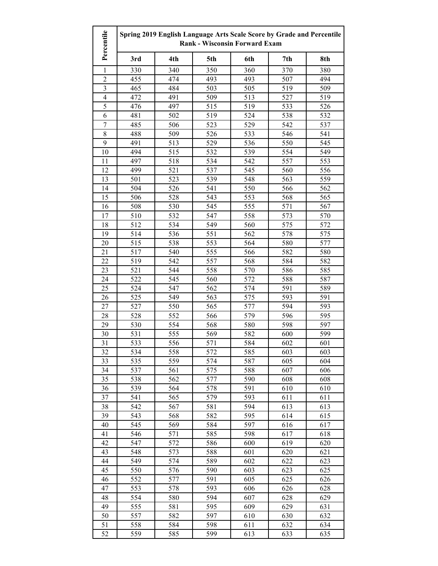| Percentile     | Spring 2019 English Language Arts Scale Score by Grade and Percentile<br><b>Rank - Wisconsin Forward Exam</b> |            |            |            |            |            |
|----------------|---------------------------------------------------------------------------------------------------------------|------------|------------|------------|------------|------------|
|                | 3rd                                                                                                           | 4th        | 5th        | 6th        | 7th        | 8th        |
| 1              | 330                                                                                                           | 340        | 350        | 360        | 370        | 380        |
| $\overline{2}$ | 455                                                                                                           | 474        | 493        | 493        | 507        | 494        |
| $\overline{3}$ | 465                                                                                                           | 484        | 503        | 505        | 519        | 509        |
| $\overline{4}$ | 472                                                                                                           | 491        | 509        | 513        | 527        | 519        |
| 5              | 476                                                                                                           | 497        | 515        | 519        | 533        | 526        |
| 6              | 481                                                                                                           | 502        | 519        | 524        | 538        | 532        |
| 7              | 485                                                                                                           | 506        | 523        | 529        | 542        | 537        |
| $\,$ 8 $\,$    | 488                                                                                                           | 509        | 526        | 533        | 546        | 541        |
| 9              | 491                                                                                                           | 513        | 529        | 536        | 550        | 545        |
| 10             | 494                                                                                                           | 515        | 532        | 539        | 554        | 549        |
| 11             | 497                                                                                                           | 518        | 534        | 542        | 557        | 553        |
| 12             | 499                                                                                                           | 521        | 537        | 545        | 560        | 556        |
| 13             | 501                                                                                                           | 523        | 539        | 548        | 563        | 559        |
| 14             | 504                                                                                                           | 526        | 541        | 550        | 566        | 562        |
| 15             | 506                                                                                                           | 528        | 543        | 553        | 568        | 565        |
| 16             | 508                                                                                                           | 530        | 545        | 555        | 571        | 567        |
| 17             | 510                                                                                                           | 532        | 547        | 558        | 573        | 570        |
| 18             | 512                                                                                                           | 534        | 549        | 560        | 575        | 572        |
| 19             | 514                                                                                                           | 536        | 551        | 562        | 578        | 575        |
| 20             | 515                                                                                                           | 538        | 553        | 564        | 580        | 577        |
| 21             | 517                                                                                                           | 540        | 555        | 566        | 582        | 580        |
| 22             | 519                                                                                                           | 542        | 557        | 568        | 584        | 582        |
| 23             | 521                                                                                                           | 544        | 558        | 570        | 586        | 585        |
| 24             | 522                                                                                                           | 545        | 560        | 572        | 588        | 587        |
| 25             | 524                                                                                                           | 547        | 562        | 574        | 591        | 589        |
| 26             | 525                                                                                                           | 549        | 563        | 575        | 593        | 591        |
| 27             | 527                                                                                                           | 550        | 565        | 577        | 594        | 593        |
| 28             | 528                                                                                                           | 552        | 566        | 579        | 596        | 595        |
| 29             | 530                                                                                                           | 554        | 568        | 580        | 598        | 597        |
| 30             | 531                                                                                                           | 555        | 569        | 582        | 600        | 599        |
| 31             | 533                                                                                                           | 556<br>558 | 571        | 584        | 602        | 601        |
| 32             | 534                                                                                                           | 559        | 572        | 585        | 603<br>605 | 603        |
| 33<br>34       | 535<br>537                                                                                                    | 561        | 574<br>575 | 587<br>588 | 607        | 604<br>606 |
| 35             | 538                                                                                                           | 562        | 577        | 590        | 608        | 608        |
| 36             | 539                                                                                                           | 564        | 578        | 591        | 610        | 610        |
| 37             | 541                                                                                                           | 565        | 579        | 593        | 611        | 611        |
| 38             | 542                                                                                                           | 567        | 581        | 594        | 613        | 613        |
| 39             | 543                                                                                                           | 568        | 582        | 595        | 614        | 615        |
| 40             | 545                                                                                                           | 569        | 584        | 597        | 616        | 617        |
| 41             | 546                                                                                                           | 571        | 585        | 598        | 617        | 618        |
| 42             | 547                                                                                                           | 572        | 586        | 600        | 619        | 620        |
| 43             | 548                                                                                                           | 573        | 588        | 601        | 620        | 621        |
| 44             | 549                                                                                                           | 574        | 589        | 602        | 622        | 623        |
| 45             | 550                                                                                                           | 576        | 590        | 603        | 623        | 625        |
| 46             | 552                                                                                                           | 577        | 591        | 605        | 625        | 626        |
| 47             | 553                                                                                                           | 578        | 593        | 606        | 626        | 628        |
| 48             | 554                                                                                                           | 580        | 594        | 607        | 628        | 629        |
| 49             | 555                                                                                                           | 581        | 595        | 609        | 629        | 631        |
| 50             | 557                                                                                                           | 582        | 597        | 610        | 630        | 632        |
| 51             | 558                                                                                                           | 584        | 598        | 611        | 632        | 634        |
| 52             | 559                                                                                                           | 585        | 599        | 613        | 633        | 635        |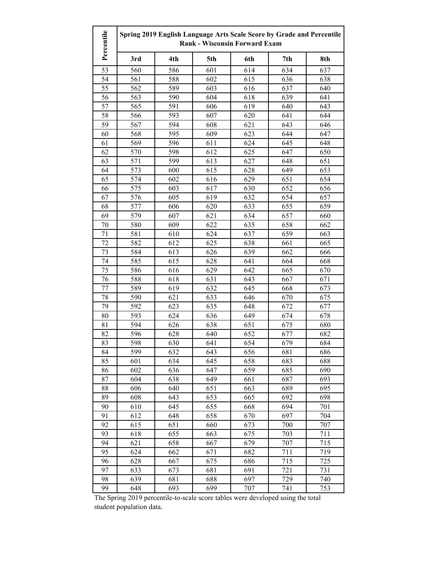| Percentile | Spring 2019 English Language Arts Scale Score by Grade and Percentile<br><b>Rank - Wisconsin Forward Exam</b> |     |     |     |     |     |
|------------|---------------------------------------------------------------------------------------------------------------|-----|-----|-----|-----|-----|
|            | 3rd                                                                                                           | 4th | 5th | 6th | 7th | 8th |
| 53         | 560                                                                                                           | 586 | 601 | 614 | 634 | 637 |
| 54         | 561                                                                                                           | 588 | 602 | 615 | 636 | 638 |
| 55         | 562                                                                                                           | 589 | 603 | 616 | 637 | 640 |
| 56         | 563                                                                                                           | 590 | 604 | 618 | 639 | 641 |
| 57         | 565                                                                                                           | 591 | 606 | 619 | 640 | 643 |
| 58         | 566                                                                                                           | 593 | 607 | 620 | 641 | 644 |
| 59         | 567                                                                                                           | 594 | 608 | 621 | 643 | 646 |
| 60         | 568                                                                                                           | 595 | 609 | 623 | 644 | 647 |
| 61         | 569                                                                                                           | 596 | 611 | 624 | 645 | 648 |
| 62         | 570                                                                                                           | 598 | 612 | 625 | 647 | 650 |
| 63         | 571                                                                                                           | 599 | 613 | 627 | 648 | 651 |
| 64         | 573                                                                                                           | 600 | 615 | 628 | 649 | 653 |
| 65         | 574                                                                                                           | 602 | 616 | 629 | 651 | 654 |
| 66         | 575                                                                                                           | 603 | 617 | 630 | 652 | 656 |
| 67         | 576                                                                                                           | 605 | 619 | 632 | 654 | 657 |
| 68         | 577                                                                                                           | 606 | 620 | 633 | 655 | 659 |
| 69         | 579                                                                                                           | 607 | 621 | 634 | 657 | 660 |
| 70         | 580                                                                                                           | 609 | 622 | 635 | 658 | 662 |
| 71         | 581                                                                                                           | 610 | 624 | 637 | 659 | 663 |
| 72         | 582                                                                                                           | 612 | 625 | 638 | 661 | 665 |
| 73         | 584                                                                                                           | 613 | 626 | 639 | 662 | 666 |
| 74         | 585                                                                                                           | 615 | 628 | 641 | 664 | 668 |
| 75         | 586                                                                                                           | 616 | 629 | 642 | 665 | 670 |
| 76         | 588                                                                                                           | 618 | 631 | 643 | 667 | 671 |
| 77         | 589                                                                                                           | 619 | 632 | 645 | 668 | 673 |
| 78         | 590                                                                                                           | 621 | 633 | 646 | 670 | 675 |
| 79         | 592                                                                                                           | 623 | 635 | 648 | 672 | 677 |
| 80         | 593                                                                                                           | 624 | 636 | 649 | 674 | 678 |
| 81         | 594                                                                                                           | 626 | 638 | 651 | 675 | 680 |
| 82         | 596                                                                                                           | 628 | 640 | 652 | 677 | 682 |
| 83         | 598                                                                                                           | 630 | 641 | 654 | 679 | 684 |
| 84         | 599                                                                                                           | 632 | 643 | 656 | 681 | 686 |
| 85         | 601                                                                                                           | 634 | 645 | 658 | 683 | 688 |
| 86         | 602                                                                                                           | 636 | 647 | 659 | 685 | 690 |
| 87         | 604                                                                                                           | 638 | 649 | 661 | 687 | 693 |
| 88         | 606                                                                                                           | 640 | 651 | 663 | 689 | 695 |
| 89         | 608                                                                                                           | 643 | 653 | 665 | 692 | 698 |
| 90         | 610                                                                                                           | 645 | 655 | 668 | 694 | 701 |
| 91         | 612                                                                                                           | 648 | 658 | 670 | 697 | 704 |
| 92         | 615                                                                                                           | 651 | 660 | 673 | 700 | 707 |
| 93         | 618                                                                                                           | 655 | 663 | 675 | 703 | 711 |
| 94         | 621                                                                                                           | 658 | 667 | 679 | 707 | 715 |
| 95         | 624                                                                                                           | 662 | 671 | 682 | 711 | 719 |
| 96         | 628                                                                                                           | 667 | 675 | 686 | 715 | 725 |
| 97         | 633                                                                                                           | 673 | 681 | 691 | 721 | 731 |
| 98         | 639                                                                                                           | 681 | 688 | 697 | 729 | 740 |
| 99         | 648                                                                                                           | 693 | 699 | 707 | 741 | 753 |

The Spring 2019 percentile-to-scale score tables were developed using the total student population data.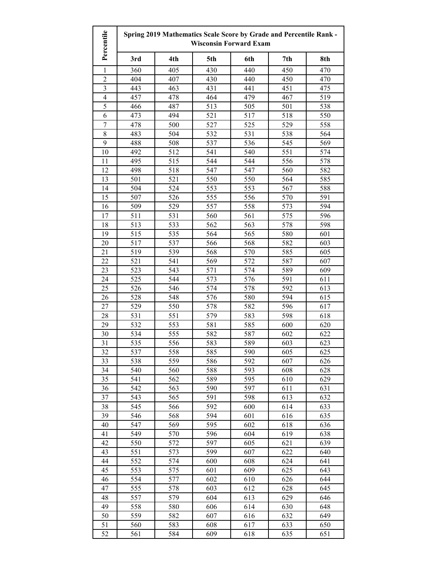| Percentile              |            |            |            | <b>Wisconsin Forward Exam</b> | Spring 2019 Mathematics Scale Score by Grade and Percentile Rank - |            |
|-------------------------|------------|------------|------------|-------------------------------|--------------------------------------------------------------------|------------|
|                         | 3rd        | 4th        | 5th        | 6th                           | 7th                                                                | 8th        |
| 1                       | 360        | 405        | 430        | 440                           | 450                                                                | 470        |
| $\overline{2}$          | 404        | 407        | 430        | 440                           | 450                                                                | 470        |
| $\overline{\mathbf{3}}$ | 443        | 463        | 431        | 441                           | 451                                                                | 475        |
| $\overline{4}$          | 457        | 478        | 464        | 479                           | 467                                                                | 519        |
| 5                       | 466        | 487        | 513        | 505                           | 501                                                                | 538        |
| 6                       | 473        | 494        | 521        | 517                           | 518                                                                | 550        |
| $\boldsymbol{7}$        | 478        | 500        | 527        | 525                           | 529                                                                | 558        |
| $\,$ 8 $\,$             | 483        | 504        | 532        | 531                           | 538                                                                | 564        |
| 9                       | 488        | 508        | 537        | 536                           | 545                                                                | 569        |
| 10                      | 492        | 512        | 541        | 540                           | 551                                                                | 574        |
| 11                      | 495        | 515        | 544        | 544                           | 556                                                                | 578        |
| 12                      | 498        | 518        | 547        | 547                           | 560                                                                | 582        |
| 13                      | 501        | 521        | 550        | 550                           | 564                                                                | 585        |
| 14                      | 504        | 524        | 553        | 553                           | 567                                                                | 588        |
| 15                      | 507        | 526        | 555        | 556                           | 570                                                                | 591        |
| 16                      | 509        | 529        | 557        | 558                           | 573                                                                | 594        |
| 17                      | 511        | 531        | 560        | 561                           | 575                                                                | 596        |
| 18                      | 513        | 533        | 562        | 563                           | 578                                                                | 598        |
| 19                      | 515        | 535        | 564        | 565                           | 580                                                                | 601        |
| 20                      | 517        | 537        | 566        | 568                           | 582                                                                | 603        |
| 21                      | 519        | 539        | 568        | 570                           | 585                                                                | 605        |
| 22                      | 521        | 541        | 569        | 572                           | 587                                                                | 607        |
| 23                      | 523        | 543        | 571        | 574                           | 589                                                                | 609        |
| 24                      | 525        | 544        | 573        | 576                           | 591                                                                | 611        |
| 25                      | 526        | 546        | 574        | 578                           | 592                                                                | 613        |
| 26                      | 528        | 548        | 576        | 580                           | 594                                                                | 615        |
| 27                      | 529        | 550        | 578        | 582                           | 596                                                                | 617        |
| 28                      | 531        | 551        | 579        | 583                           | 598                                                                | 618        |
| 29                      | 532        | 553        | 581        | 585                           | 600                                                                | 620        |
| 30                      | 534        | 555        | 582        | 587                           | 602                                                                | 622        |
| 31                      | 535        | 556        | 583        | 589                           | 603                                                                | 623        |
| 32                      | 537        | 558        | 585        | 590                           | 605                                                                | 625        |
| 33                      | 538        | 559        | 586        | 592                           | 607                                                                | 626        |
| 34                      | 540        | 560        | 588        | 593                           | 608                                                                | 628        |
| 35                      | 541        | 562        | 589        | 595                           | 610                                                                | 629        |
| 36                      | 542        | 563        | 590        | 597                           | 611                                                                | 631        |
| 37                      | 543        | 565        | 591        | 598                           | 613                                                                | 632        |
| 38                      | 545        | 566        | 592        | 600                           | 614                                                                | 633        |
| 39                      | 546        | 568        | 594        | 601                           | 616                                                                | 635        |
| 40                      | 547        | 569        | 595        | 602                           | 618                                                                | 636        |
| 41                      | 549        | 570        | 596        | 604                           | 619                                                                | 638        |
| 42                      | 550        | 572        | 597        | 605                           | 621                                                                | 639        |
| 43                      | 551        | 573        | 599        | 607                           | 622                                                                | 640        |
| 44<br>45                | 552<br>553 | 574<br>575 | 600<br>601 | 608<br>609                    | 624<br>625                                                         | 641<br>643 |
| 46                      | 554        | 577        | 602        | 610                           | 626                                                                | 644        |
| 47                      | 555        | 578        | 603        | 612                           | 628                                                                | 645        |
| 48                      | 557        | 579        | 604        | 613                           | 629                                                                | 646        |
| 49                      | 558        | 580        | 606        | 614                           | 630                                                                | 648        |
| 50                      | 559        | 582        | 607        | 616                           | 632                                                                | 649        |
| 51                      | 560        | 583        | 608        | 617                           | 633                                                                | 650        |
| 52                      | 561        | 584        | 609        | 618                           | 635                                                                | 651        |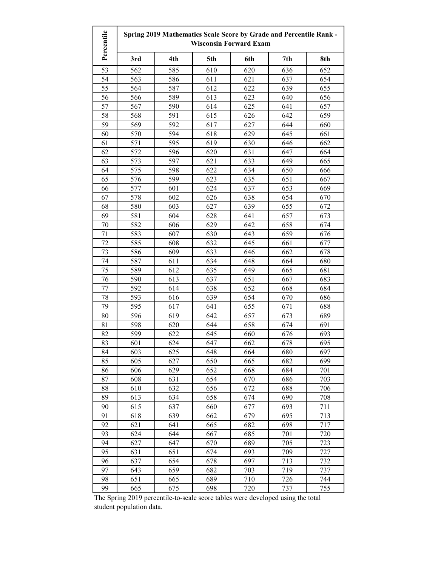| Percentile | Spring 2019 Mathematics Scale Score by Grade and Percentile Rank -<br><b>Wisconsin Forward Exam</b> |     |     |     |     |     |
|------------|-----------------------------------------------------------------------------------------------------|-----|-----|-----|-----|-----|
|            | 3rd                                                                                                 | 4th | 5th | 6th | 7th | 8th |
| 53         | 562                                                                                                 | 585 | 610 | 620 | 636 | 652 |
| 54         | 563                                                                                                 | 586 | 611 | 621 | 637 | 654 |
| 55         | 564                                                                                                 | 587 | 612 | 622 | 639 | 655 |
| 56         | 566                                                                                                 | 589 | 613 | 623 | 640 | 656 |
| 57         | 567                                                                                                 | 590 | 614 | 625 | 641 | 657 |
| 58         | 568                                                                                                 | 591 | 615 | 626 | 642 | 659 |
| 59         | 569                                                                                                 | 592 | 617 | 627 | 644 | 660 |
| 60         | 570                                                                                                 | 594 | 618 | 629 | 645 | 661 |
| 61         | 571                                                                                                 | 595 | 619 | 630 | 646 | 662 |
| 62         | 572                                                                                                 | 596 | 620 | 631 | 647 | 664 |
| 63         | 573                                                                                                 | 597 | 621 | 633 | 649 | 665 |
| 64         | 575                                                                                                 | 598 | 622 | 634 | 650 | 666 |
| 65         | 576                                                                                                 | 599 | 623 | 635 | 651 | 667 |
| 66         | 577                                                                                                 | 601 | 624 | 637 | 653 | 669 |
| 67         | 578                                                                                                 | 602 | 626 | 638 | 654 | 670 |
| 68         | 580                                                                                                 | 603 | 627 | 639 | 655 | 672 |
| 69         | 581                                                                                                 | 604 | 628 | 641 | 657 | 673 |
| 70         | 582                                                                                                 | 606 | 629 | 642 | 658 | 674 |
| 71         | 583                                                                                                 | 607 | 630 | 643 | 659 | 676 |
| 72         | 585                                                                                                 | 608 | 632 | 645 | 661 | 677 |
| 73         | 586                                                                                                 | 609 | 633 | 646 | 662 | 678 |
| 74         | 587                                                                                                 | 611 | 634 | 648 | 664 | 680 |
| 75         | 589                                                                                                 | 612 | 635 | 649 | 665 | 681 |
| 76         | 590                                                                                                 | 613 | 637 | 651 | 667 | 683 |
| 77         | 592                                                                                                 | 614 | 638 | 652 | 668 | 684 |
| 78         | 593                                                                                                 | 616 | 639 | 654 | 670 | 686 |
| 79         | 595                                                                                                 | 617 | 641 | 655 | 671 | 688 |
| 80         | 596                                                                                                 | 619 | 642 | 657 | 673 | 689 |
| 81         | 598                                                                                                 | 620 | 644 | 658 | 674 | 691 |
| 82         | 599                                                                                                 | 622 | 645 | 660 | 676 | 693 |
| 83         | 601                                                                                                 | 624 | 647 | 662 | 678 | 695 |
| 84         | 603                                                                                                 | 625 | 648 | 664 | 680 | 697 |
| 85         | 605                                                                                                 | 627 | 650 | 665 | 682 | 699 |
| 86         | 606                                                                                                 | 629 | 652 | 668 | 684 | 701 |
| 87         | 608                                                                                                 | 631 | 654 | 670 | 686 | 703 |
| 88         | 610                                                                                                 | 632 | 656 | 672 | 688 | 706 |
| 89         | 613                                                                                                 | 634 | 658 | 674 | 690 | 708 |
| 90         | 615                                                                                                 | 637 | 660 | 677 | 693 | 711 |
| 91         | 618                                                                                                 | 639 | 662 | 679 | 695 | 713 |
| 92         | 621                                                                                                 | 641 | 665 | 682 | 698 | 717 |
| 93         | 624                                                                                                 | 644 | 667 | 685 | 701 | 720 |
| 94         | 627                                                                                                 | 647 | 670 | 689 | 705 | 723 |
| 95         | 631                                                                                                 | 651 | 674 | 693 | 709 | 727 |
| 96         | 637                                                                                                 | 654 | 678 | 697 | 713 | 732 |
| 97         | 643                                                                                                 | 659 | 682 | 703 | 719 | 737 |
| 98         | 651                                                                                                 | 665 | 689 | 710 | 726 | 744 |
| 99         | 665                                                                                                 | 675 | 698 | 720 | 737 | 755 |

The Spring 2019 percentile-to-scale score tables were developed using the total student population data.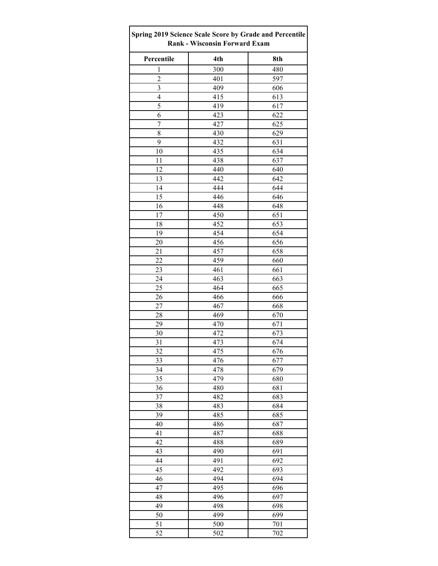| Spring 2019 Science Scale Score by Grade and Percentile<br><b>Rank - Wisconsin Forward Exam</b> |     |     |  |  |
|-------------------------------------------------------------------------------------------------|-----|-----|--|--|
| Percentile                                                                                      | 4th | 8th |  |  |
| $\mathbf{1}$                                                                                    | 300 | 480 |  |  |
| $\overline{c}$                                                                                  | 401 | 597 |  |  |
| $\overline{\mathbf{3}}$                                                                         | 409 | 606 |  |  |
| 4                                                                                               | 415 | 613 |  |  |
| 5                                                                                               | 419 | 617 |  |  |
| 6                                                                                               | 423 | 622 |  |  |
| $\sqrt{ }$                                                                                      | 427 | 625 |  |  |
| 8                                                                                               | 430 | 629 |  |  |
| 9                                                                                               | 432 | 631 |  |  |
| 10                                                                                              | 435 | 634 |  |  |
| 11                                                                                              | 438 | 637 |  |  |
| 12                                                                                              | 440 | 640 |  |  |
| 13                                                                                              | 442 | 642 |  |  |
| 14                                                                                              | 444 | 644 |  |  |
| 15                                                                                              | 446 | 646 |  |  |
| 16                                                                                              | 448 | 648 |  |  |
| 17                                                                                              | 450 | 651 |  |  |
| 18                                                                                              | 452 | 653 |  |  |
| 19                                                                                              | 454 | 654 |  |  |
| $20\,$                                                                                          | 456 | 656 |  |  |
| 21                                                                                              | 457 | 658 |  |  |
| 22                                                                                              | 459 | 660 |  |  |
| 23                                                                                              | 461 | 661 |  |  |
| 24                                                                                              | 463 | 663 |  |  |
| 25                                                                                              | 464 | 665 |  |  |
| 26                                                                                              | 466 | 666 |  |  |
| 27                                                                                              | 467 | 668 |  |  |
| 28                                                                                              | 469 | 670 |  |  |
| 29                                                                                              | 470 | 671 |  |  |
| 30                                                                                              | 472 | 673 |  |  |
| 31                                                                                              | 473 | 674 |  |  |
| 32                                                                                              | 475 | 676 |  |  |
| 33                                                                                              | 476 | 677 |  |  |
| 34                                                                                              | 478 | 679 |  |  |
| 35                                                                                              | 479 | 680 |  |  |
| 36                                                                                              | 480 | 681 |  |  |
| 37                                                                                              | 482 | 683 |  |  |
| 38                                                                                              | 483 | 684 |  |  |
| 39                                                                                              | 485 | 685 |  |  |
| 40                                                                                              | 486 | 687 |  |  |
| 41                                                                                              | 487 | 688 |  |  |
| 42                                                                                              | 488 | 689 |  |  |
| 43                                                                                              | 490 | 691 |  |  |
| 44                                                                                              | 491 | 692 |  |  |
| 45                                                                                              | 492 | 693 |  |  |
| 46                                                                                              | 494 | 694 |  |  |
| 47                                                                                              | 495 | 696 |  |  |
| 48                                                                                              | 496 | 697 |  |  |
| 49                                                                                              | 498 | 698 |  |  |
| 50                                                                                              | 499 | 699 |  |  |
| 51                                                                                              | 500 | 701 |  |  |
| 52                                                                                              | 502 | 702 |  |  |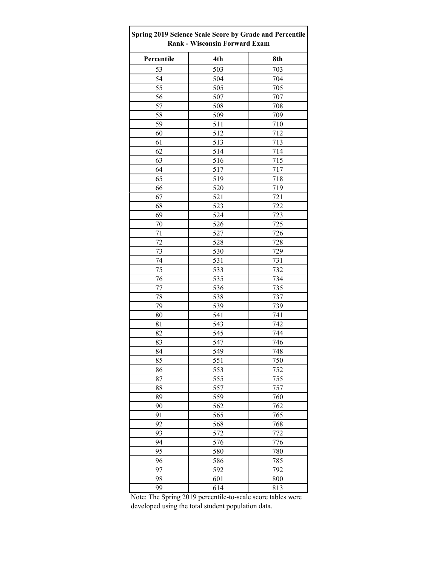| Spring 2019 Science Scale Score by Grade and Percentile<br><b>Rank - Wisconsin Forward Exam</b> |     |     |  |  |  |
|-------------------------------------------------------------------------------------------------|-----|-----|--|--|--|
| Percentile                                                                                      | 4th | 8th |  |  |  |
| 53                                                                                              | 503 | 703 |  |  |  |
| 54                                                                                              | 504 | 704 |  |  |  |
| 55                                                                                              | 505 | 705 |  |  |  |
| 56                                                                                              | 507 | 707 |  |  |  |
| 57                                                                                              | 508 | 708 |  |  |  |
| 58                                                                                              | 509 | 709 |  |  |  |
| 59                                                                                              | 511 | 710 |  |  |  |
| 60                                                                                              | 512 | 712 |  |  |  |
| 61                                                                                              | 513 | 713 |  |  |  |
| 62                                                                                              | 514 | 714 |  |  |  |
| 63                                                                                              | 516 | 715 |  |  |  |
| 64                                                                                              | 517 | 717 |  |  |  |
| 65                                                                                              | 519 | 718 |  |  |  |
| 66                                                                                              | 520 | 719 |  |  |  |
| 67                                                                                              | 521 | 721 |  |  |  |
| 68                                                                                              | 523 | 722 |  |  |  |
| 69                                                                                              | 524 | 723 |  |  |  |
| 70                                                                                              | 526 | 725 |  |  |  |
| 71                                                                                              | 527 | 726 |  |  |  |
| 72                                                                                              | 528 | 728 |  |  |  |
| 73                                                                                              | 530 | 729 |  |  |  |
| 74                                                                                              | 531 | 731 |  |  |  |
| 75                                                                                              | 533 | 732 |  |  |  |
| 76                                                                                              | 535 | 734 |  |  |  |
| 77                                                                                              | 536 | 735 |  |  |  |
| 78                                                                                              | 538 | 737 |  |  |  |
| 79                                                                                              | 539 | 739 |  |  |  |
| 80                                                                                              | 541 | 741 |  |  |  |
| 81                                                                                              | 543 | 742 |  |  |  |
| 82                                                                                              | 545 | 744 |  |  |  |
| 83                                                                                              | 547 | 746 |  |  |  |
| 84                                                                                              | 549 | 748 |  |  |  |
| 85                                                                                              | 551 | 750 |  |  |  |
| 86                                                                                              | 553 | 752 |  |  |  |
| 87                                                                                              | 555 | 755 |  |  |  |
| 88                                                                                              | 557 | 757 |  |  |  |
| 89                                                                                              | 559 | 760 |  |  |  |
| 90                                                                                              | 562 | 762 |  |  |  |
| 91                                                                                              | 565 | 765 |  |  |  |
| 92                                                                                              | 568 | 768 |  |  |  |
| 93                                                                                              | 572 | 772 |  |  |  |
| 94                                                                                              | 576 | 776 |  |  |  |
| 95                                                                                              | 580 | 780 |  |  |  |
|                                                                                                 |     |     |  |  |  |
| 96                                                                                              | 586 | 785 |  |  |  |
| 97                                                                                              | 592 | 792 |  |  |  |
| 98                                                                                              | 601 | 800 |  |  |  |
| 99                                                                                              | 614 | 813 |  |  |  |

Note: The Spring 2019 percentile-to-scale score tables were developed using the total student population data.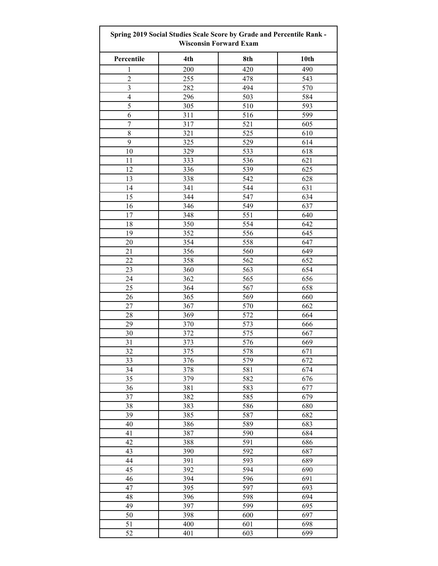| <b>Spring 2019 Social Studies Scale Score by Grade and Percentile Rank -</b><br><b>Wisconsin Forward Exam</b> |     |     |      |  |  |
|---------------------------------------------------------------------------------------------------------------|-----|-----|------|--|--|
| Percentile                                                                                                    | 4th | 8th | 10th |  |  |
| 1                                                                                                             | 200 | 420 | 490  |  |  |
| $\overline{2}$                                                                                                | 255 | 478 | 543  |  |  |
| $\overline{\mathbf{3}}$                                                                                       | 282 | 494 | 570  |  |  |
| $\overline{4}$                                                                                                | 296 | 503 | 584  |  |  |
| 5                                                                                                             | 305 | 510 | 593  |  |  |
| 6                                                                                                             | 311 | 516 | 599  |  |  |
| $\boldsymbol{7}$                                                                                              | 317 | 521 | 605  |  |  |
| 8                                                                                                             | 321 | 525 | 610  |  |  |
| 9                                                                                                             | 325 | 529 | 614  |  |  |
| 10                                                                                                            | 329 | 533 | 618  |  |  |
| 11                                                                                                            | 333 | 536 | 621  |  |  |
| 12                                                                                                            | 336 | 539 | 625  |  |  |
| 13                                                                                                            | 338 | 542 | 628  |  |  |
| 14                                                                                                            | 341 |     |      |  |  |
|                                                                                                               |     | 544 | 631  |  |  |
| 15                                                                                                            | 344 | 547 | 634  |  |  |
| 16                                                                                                            | 346 | 549 | 637  |  |  |
| 17                                                                                                            | 348 | 551 | 640  |  |  |
| 18                                                                                                            | 350 | 554 | 642  |  |  |
| 19                                                                                                            | 352 | 556 | 645  |  |  |
| 20                                                                                                            | 354 | 558 | 647  |  |  |
| 21                                                                                                            | 356 | 560 | 649  |  |  |
| 22                                                                                                            | 358 | 562 | 652  |  |  |
| 23                                                                                                            | 360 | 563 | 654  |  |  |
| 24                                                                                                            | 362 | 565 | 656  |  |  |
| 25                                                                                                            | 364 | 567 | 658  |  |  |
| 26                                                                                                            | 365 | 569 | 660  |  |  |
| 27                                                                                                            | 367 | 570 | 662  |  |  |
| 28                                                                                                            | 369 | 572 | 664  |  |  |
| 29                                                                                                            | 370 | 573 | 666  |  |  |
| 30                                                                                                            | 372 | 575 | 667  |  |  |
| 31                                                                                                            | 373 | 576 | 669  |  |  |
| 32                                                                                                            | 375 | 578 | 671  |  |  |
| 33                                                                                                            | 376 | 579 | 672  |  |  |
| 34                                                                                                            | 378 | 581 | 674  |  |  |
| 35                                                                                                            | 379 | 582 | 676  |  |  |
| 36                                                                                                            | 381 | 583 | 677  |  |  |
| 37                                                                                                            | 382 | 585 | 679  |  |  |
| 38                                                                                                            | 383 | 586 | 680  |  |  |
| 39                                                                                                            | 385 | 587 | 682  |  |  |
| 40                                                                                                            | 386 | 589 | 683  |  |  |
| 41                                                                                                            | 387 | 590 | 684  |  |  |
| 42                                                                                                            | 388 | 591 | 686  |  |  |
| 43                                                                                                            | 390 | 592 | 687  |  |  |
| 44                                                                                                            | 391 | 593 | 689  |  |  |
| 45                                                                                                            | 392 | 594 | 690  |  |  |
| 46                                                                                                            | 394 | 596 | 691  |  |  |
| 47                                                                                                            | 395 | 597 | 693  |  |  |
| 48                                                                                                            | 396 | 598 | 694  |  |  |
| 49                                                                                                            | 397 | 599 | 695  |  |  |
| 50                                                                                                            | 398 | 600 | 697  |  |  |
| 51                                                                                                            | 400 | 601 | 698  |  |  |
| 52                                                                                                            | 401 | 603 | 699  |  |  |